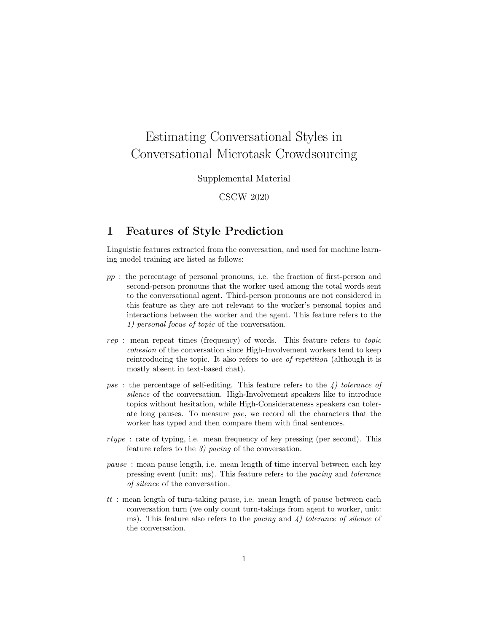# Estimating Conversational Styles in Conversational Microtask Crowdsourcing

Supplemental Material

CSCW 2020

### 1 Features of Style Prediction

Linguistic features extracted from the conversation, and used for machine learning model training are listed as follows:

- pp : the percentage of personal pronouns, i.e. the fraction of first-person and second-person pronouns that the worker used among the total words sent to the conversational agent. Third-person pronouns are not considered in this feature as they are not relevant to the worker's personal topics and interactions between the worker and the agent. This feature refers to the 1) personal focus of topic of the conversation.
- rep : mean repeat times (frequency) of words. This feature refers to topic cohesion of the conversation since High-Involvement workers tend to keep reintroducing the topic. It also refers to use of repetition (although it is mostly absent in text-based chat).
- pse: the percentage of self-editing. This feature refers to the  $\lambda$ ) tolerance of silence of the conversation. High-Involvement speakers like to introduce topics without hesitation, while High-Considerateness speakers can tolerate long pauses. To measure pse, we record all the characters that the worker has typed and then compare them with final sentences.
- rtype : rate of typing, i.e. mean frequency of key pressing (per second). This feature refers to the 3) pacing of the conversation.
- pause : mean pause length, i.e. mean length of time interval between each key pressing event (unit: ms). This feature refers to the pacing and tolerance of silence of the conversation.
- tt : mean length of turn-taking pause, i.e. mean length of pause between each conversation turn (we only count turn-takings from agent to worker, unit: ms). This feature also refers to the pacing and  $\chi$  tolerance of silence of the conversation.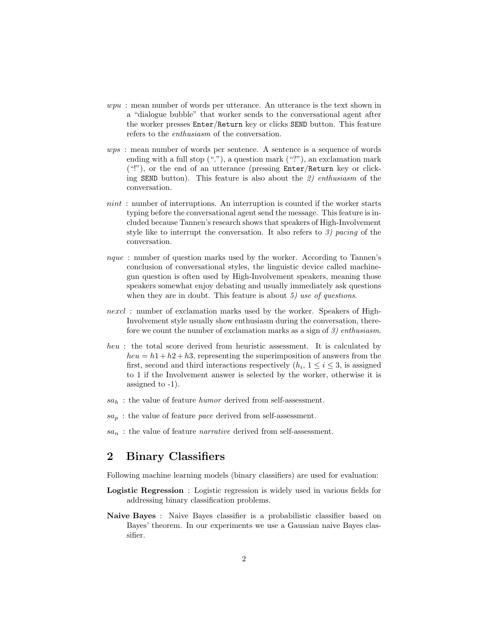- wpu: mean number of words per utterance. An utterance is the text shown in a "dialogue bubble" that worker sends to the conversational agent after the worker presses Enter/Return key or clicks SEND button. This feature refers to the enthusiasm of the conversation.
- wps : mean number of words per sentence. A sentence is a sequence of words ending with a full stop  $(\cdot, \cdot)$ , a question mark  $(\cdot, \cdot)$ , an exclamation mark  $($ "!"), or the end of an utterance (pressing  $Enter/Return$  key or clicking SEND button). This feature is also about the 2) enthusiasm of the conversation.
- nint : number of interruptions. An interruption is counted if the worker starts typing before the conversational agent send the message. This feature is included because Tannen's research shows that speakers of High-Involvement style like to interrupt the conversation. It also refers to 3) pacing of the conversation.
- nque : number of question marks used by the worker. According to Tannen's conclusion of conversational styles, the linguistic device called machinegun question is often used by High-Involvement speakers, meaning those speakers somewhat enjoy debating and usually immediately ask questions when they are in doubt. This feature is about  $5$ ) use of questions.
- nexcl : number of exclamation marks used by the worker. Speakers of High-Involvement style usually show enthusiasm during the conversation, therefore we count the number of exclamation marks as a sign of 3) enthusiasm.
- heu : the total score derived from heuristic assessment. It is calculated by  $heu = h1 + h2 + h3$ , representing the superimposition of answers from the first, second and third interactions respectively  $(h_i, 1 \leq i \leq 3)$ , is assigned to 1 if the Involvement answer is selected by the worker, otherwise it is assigned to -1).
- $sa_h$ : the value of feature *humor* derived from self-assessment.
- $sa_p$ : the value of feature pace derived from self-assessment.
- $sa_n$ : the value of feature *narrative* derived from self-assessment.

## 2 Binary Classifiers

Following machine learning models (binary classifiers) are used for evaluation:

- Logistic Regression : Logistic regression is widely used in various fields for addressing binary classification problems.
- Naive Bayes : Naive Bayes classifier is a probabilistic classifier based on Bayes' theorem. In our experiments we use a Gaussian naive Bayes classifier.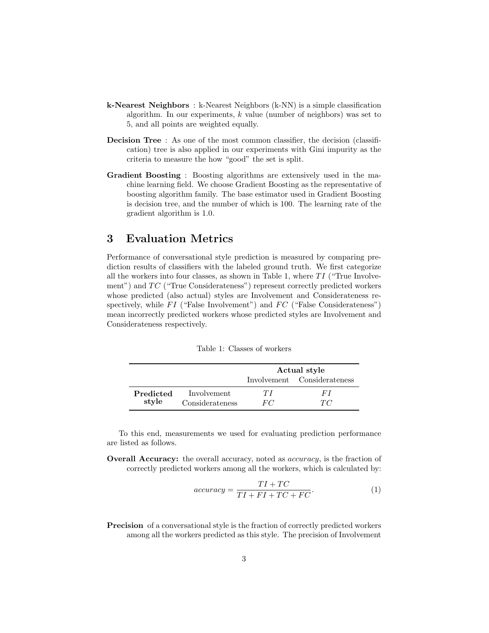- k-Nearest Neighbors : k-Nearest Neighbors (k-NN) is a simple classification algorithm. In our experiments,  $k$  value (number of neighbors) was set to 5, and all points are weighted equally.
- Decision Tree: As one of the most common classifier, the decision (classification) tree is also applied in our experiments with Gini impurity as the criteria to measure the how "good" the set is split.
- Gradient Boosting : Boosting algorithms are extensively used in the machine learning field. We choose Gradient Boosting as the representative of boosting algorithm family. The base estimator used in Gradient Boosting is decision tree, and the number of which is 100. The learning rate of the gradient algorithm is 1.0.

## 3 Evaluation Metrics

Performance of conversational style prediction is measured by comparing prediction results of classifiers with the labeled ground truth. We first categorize all the workers into four classes, as shown in Table 1, where  $TI$  ("True Involvement") and  $TC$  ("True Considerateness") represent correctly predicted workers whose predicted (also actual) styles are Involvement and Considerateness respectively, while  $FI$  ("False Involvement") and  $FC$  ("False Considerateness") mean incorrectly predicted workers whose predicted styles are Involvement and Considerateness respectively.

|           |                 | Actual style |                             |  |
|-----------|-----------------|--------------|-----------------------------|--|
|           |                 |              | Involvement Considerateness |  |
| Predicted | Involvement     | 77           | H'I                         |  |
| style     | Considerateness | FC           | TC                          |  |

Table 1: Classes of workers

To this end, measurements we used for evaluating prediction performance are listed as follows.

**Overall Accuracy:** the overall accuracy, noted as *accuracy*, is the fraction of correctly predicted workers among all the workers, which is calculated by:

$$
accuracy = \frac{TI + TC}{TI + FI + TC + FC}.
$$
\n(1)

Precision of a conversational style is the fraction of correctly predicted workers among all the workers predicted as this style. The precision of Involvement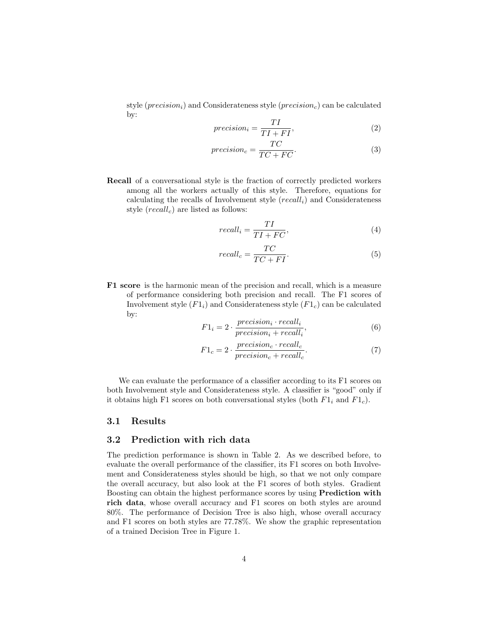style ( $precision_i$ ) and Considerateness style ( $precision_c$ ) can be calculated by:

$$
precision_i = \frac{TI}{TI + FI},\tag{2}
$$

$$
precision_c = \frac{TC}{TC + FC}.\tag{3}
$$

Recall of a conversational style is the fraction of correctly predicted workers among all the workers actually of this style. Therefore, equations for calculating the recalls of Involvement style  $(recall<sub>i</sub>)$  and Considerateness style  $(recall<sub>c</sub>)$  are listed as follows:

$$
recall_i = \frac{TI}{TI + FC},\tag{4}
$$

$$
recall_c = \frac{TC}{TC + FI}.
$$
\n(5)

F1 score is the harmonic mean of the precision and recall, which is a measure of performance considering both precision and recall. The F1 scores of Involvement style  $(F1_i)$  and Considerateness style  $(F1_c)$  can be calculated by:

$$
F1_i = 2 \cdot \frac{precision_i \cdot recall_i}{precision_i + recall_i},\tag{6}
$$

$$
F1_c = 2 \cdot \frac{precision_c \cdot recall_c}{precision_c + recall_c}.\tag{7}
$$

We can evaluate the performance of a classifier according to its F1 scores on both Involvement style and Considerateness style. A classifier is "good" only if it obtains high F1 scores on both conversational styles (both  $F1_i$  and  $F1_c$ ).

#### 3.1 Results

#### 3.2 Prediction with rich data

The prediction performance is shown in Table 2. As we described before, to evaluate the overall performance of the classifier, its F1 scores on both Involvement and Considerateness styles should be high, so that we not only compare the overall accuracy, but also look at the F1 scores of both styles. Gradient Boosting can obtain the highest performance scores by using Prediction with rich data, whose overall accuracy and F1 scores on both styles are around 80%. The performance of Decision Tree is also high, whose overall accuracy and F1 scores on both styles are 77.78%. We show the graphic representation of a trained Decision Tree in Figure 1.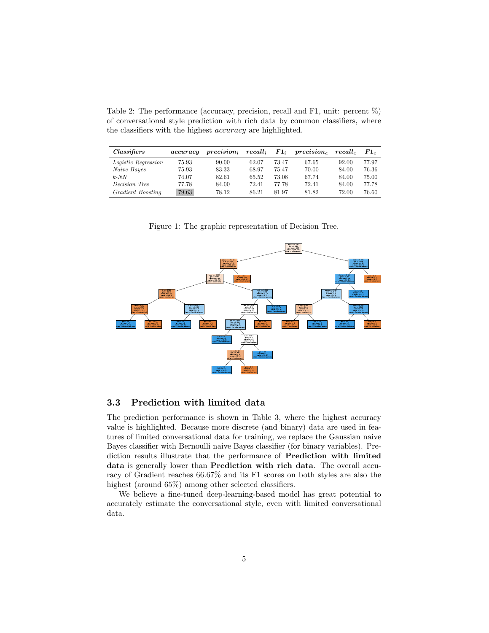Table 2: The performance (accuracy, precision, recall and F1, unit: percent %) of conversational style prediction with rich data by common classifiers, where the classifiers with the highest accuracy are highlighted.

| <i>Classifiers</i>   | accuracy | $precision_{i}$ | $recall_i$ | $F1_i$ | precision <sub>c</sub> | recall. | $F1_c$ |
|----------------------|----------|-----------------|------------|--------|------------------------|---------|--------|
| Logistic Regression  | 75.93    | 90.00           | 62.07      | 73.47  | 67.65                  | 92.00   | 77.97  |
| Naive Bayes          | 75.93    | 83.33           | 68.97      | 75.47  | 70.00                  | 84.00   | 76.36  |
| $k$ -NN              | 74.07    | 82.61           | 65.52      | 73.08  | 67.74                  | 84.00   | 75.00  |
| <i>Decision Tree</i> | 77.78    | 84.00           | 72.41      | 77.78  | 72.41                  | 84.00   | 77.78  |
| Gradient Boosting    | 79.63    | 78.12           | 86.21      | 81.97  | 81.82                  | 72.00   | 76.60  |

Figure 1: The graphic representation of Decision Tree.



#### 3.3 Prediction with limited data

The prediction performance is shown in Table 3, where the highest accuracy value is highlighted. Because more discrete (and binary) data are used in features of limited conversational data for training, we replace the Gaussian naive Bayes classifier with Bernoulli naive Bayes classifier (for binary variables). Prediction results illustrate that the performance of Prediction with limited data is generally lower than Prediction with rich data. The overall accuracy of Gradient reaches 66.67% and its F1 scores on both styles are also the highest (around  $65\%$ ) among other selected classifiers.

We believe a fine-tuned deep-learning-based model has great potential to accurately estimate the conversational style, even with limited conversational data.